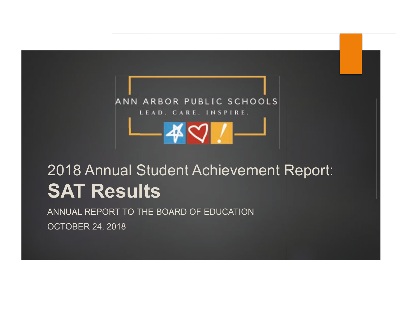

# 2018 Annual Student Achievement Report: **SAT Results**

ANNUAL REPORT TO THE BOARD OF EDUCATION

**OCTOBER 24, 2018**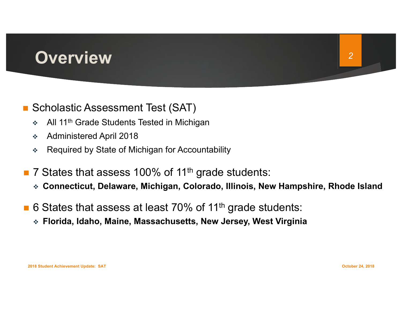### **Overview**

#### **Scholastic Assessment Test (SAT)**

- All 11<sup>th</sup> Grade Students Tested in Michigan  $\frac{1}{2}$
- **Administered April 2018**  $\frac{\partial}{\partial x^k}$
- Required by State of Michigan for Accountability  $\frac{\partial}{\partial x^k}$
- 7 States that assess 100% of 11<sup>th</sup> grade students:
	- ◈ Connecticut, Delaware, Michigan, Colorado, Illinois, New Hampshire, Rhode Island
- 6 States that assess at least 70% of 11<sup>th</sup> grade students:
	- ❖ Florida, Idaho, Maine, Massachusetts, New Jersey, West Virginia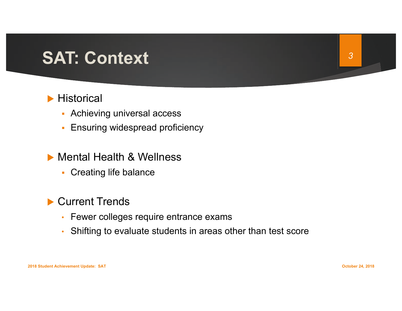### **SAT: Context**

#### $\blacktriangleright$  Historical

- Achieving universal access
- Ensuring widespread proficiency
- Mental Health & Wellness
	- Creating life balance

#### Current Trends

- Fewer colleges require entrance exams
- Shifting to evaluate students in areas other than test score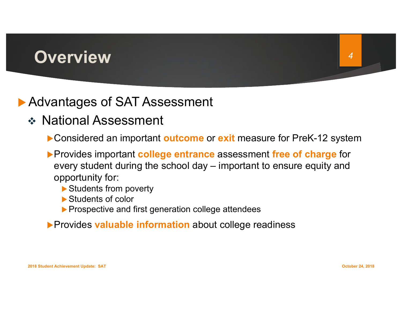### **Overview**

### Advantages of SAT Assessment

- ❖ National Assessment
	- Considered an important outcome or exit measure for PreK-12 system
	- ▶ Provides important college entrance assessment free of charge for every student during the school day - important to ensure equity and opportunity for:
		- Students from poverty
		- Students of color
		- ▶ Prospective and first generation college attendees
	- Provides valuable information about college readiness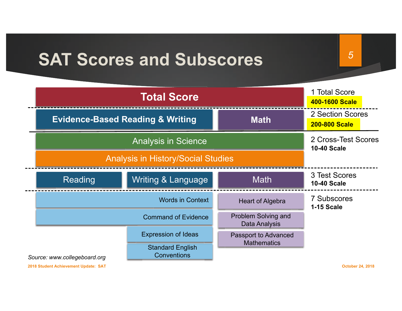### **SAT Scores and Subscores**

1 Total Score **Total Score** 400-1600 Scale 2 Section Scores **Evidence-Based Reading & Writing Math 200-800 Scale** 2 Cross-Test Scores **Analysis in Science 10-40 Scale Analysis in History/Social Studies** 3 Test Scores **Writing & Language Math** Reading **10-40 Scale 7 Subscores Words in Context Heart of Algebra 1-15 Scale** Problem Solving and **Command of Evidence** Data Analysis **Expression of Ideas Passport to Advanced Mathematics Standard English** Conventions Source: www.collegeboard.org

2018 Student Achievement Update: SAT

**October 24, 2018** 

 $\overline{5}$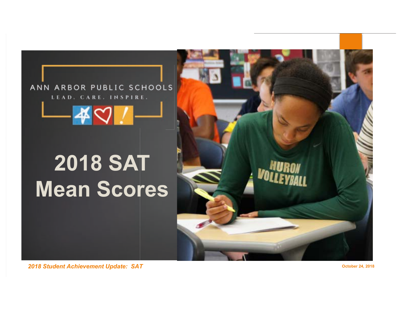#### ANN ARBOR PUBLIC SCHOOLS LEAD. CARE. INSPIRE.

# **2018 SAT Mean Scores**



2018 Student Achievement Update: SAT

**October 24, 2018**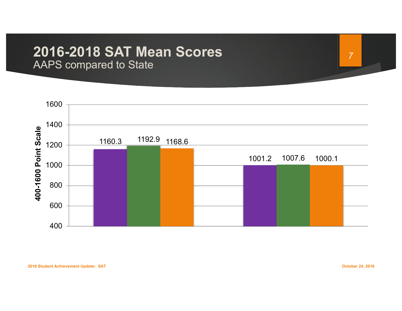### **2016-2018 SAT Mean Scores**

AAPS compared to State



 $\overline{7}$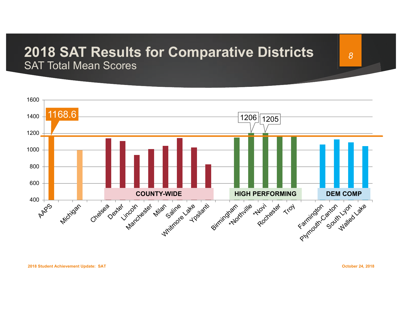#### **2018 SAT Results for Comparative Districts SAT Total Mean Scores**



**October 24, 2018**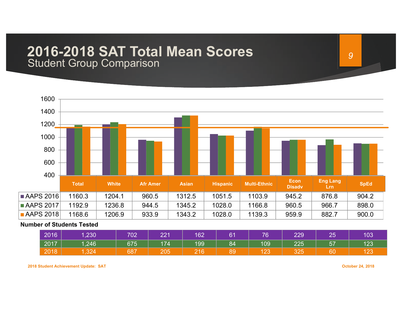### 2016-2018 SAT Total Mean Scores

**Student Group Comparison** 



#### **Number of Students Tested**

| 2016 | 1,230 | 702 | 221   | 162 | 61 | $\nabla$ | 229 | 25         | 103 |
|------|-------|-----|-------|-----|----|----------|-----|------------|-----|
| 2017 | 1,246 | 675 | 174   | 199 | 84 | 109      | 225 | E 7<br>ا ر | 123 |
| 2018 | 324   | 687 | ∕ ب∪ک | 216 | 89 | ن ے ا    | 325 | 60         | ∣∠J |

2018 Student Achievement Update: SAT

**October 24, 2018**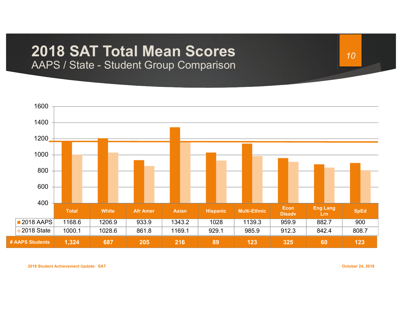# 2018 SAT Total Mean Scores

AAPS / State - Student Group Comparison



**October 24, 2018**